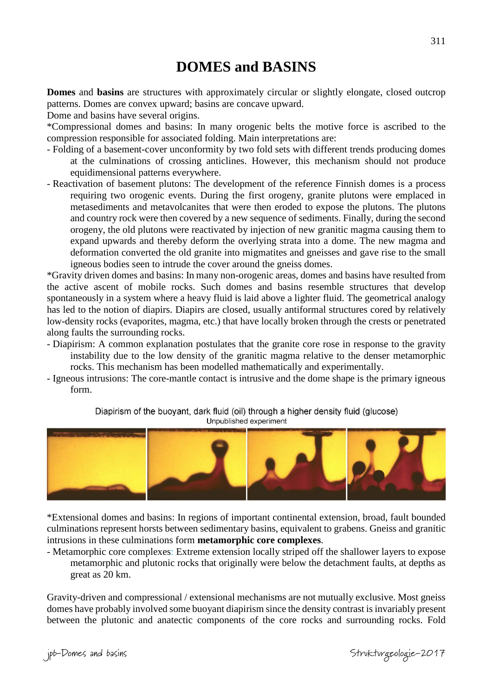# **DOMES and BASINS**

**Domes** and **basins** are structures with approximately circular or slightly elongate, closed outcrop patterns. Domes are convex upward; basins are concave upward.

Dome and basins have several origins.

\*Compressional domes and basins: In many orogenic belts the motive force is ascribed to the compression responsible for associated folding. Main interpretations are:

- Folding of a basement-cover unconformity by two fold sets with different trends producing domes at the culminations of crossing anticlines. However*,* this mechanism should not produce equidimensional patterns everywhere.
- Reactivation of basement plutons: The development of the reference Finnish domes is a process requiring two orogenic events. During the first orogeny, granite plutons were emplaced in metasediments and metavolcanites that were then eroded to expose the plutons. The plutons and country rock were then covered by a new sequence of sediments. Finally, during the second orogeny, the old plutons were reactivated by injection of new granitic magma causing them to expand upwards and thereby deform the overlying strata into a dome. The new magma and deformation converted the old granite into migmatites and gneisses and gave rise to the small igneous bodies seen to intrude the cover around the gneiss domes.

\*Gravity driven domes and basins: In many non-orogenic areas, domes and basins have resulted from the active ascent of mobile rocks. Such domes and basins resemble structures that develop spontaneously in a system where a heavy fluid is laid above a lighter fluid. The geometrical analogy has led to the notion of diapirs. Diapirs are closed, usually antiformal structures cored by relatively low-density rocks (evaporites, magma, etc.) that have locally broken through the crests or penetrated along faults the surrounding rocks.

- Diapirism: A common explanation postulates that the granite core rose in response to the gravity instability due to the low density of the granitic magma relative to the denser metamorphic rocks. This mechanism has been modelled mathematically and experimentally.
- Igneous intrusions: The core-mantle contact is intrusive and the dome shape is the primary igneous form.

Diapirism of the buoyant, dark fluid (oil) through a higher density fluid (glucose) Unpublished experiment



\*Extensional domes and basins: In regions of important continental extension, broad, fault bounded culminations represent horsts between sedimentary basins, equivalent to grabens. Gneiss and granitic intrusions in these culminations form **metamorphic core complexes**.

- Metamorphic core complexes: Extreme extension locally striped off the shallower layers to expose metamorphic and plutonic rocks that originally were below the detachment faults, at depths as great as 20 km.

Gravity-driven and compressional / extensional mechanisms are not mutually exclusive. Most gneiss domes have probably involved some buoyant diapirism since the density contrast is invariably present between the plutonic and anatectic components of the core rocks and surrounding rocks. Fold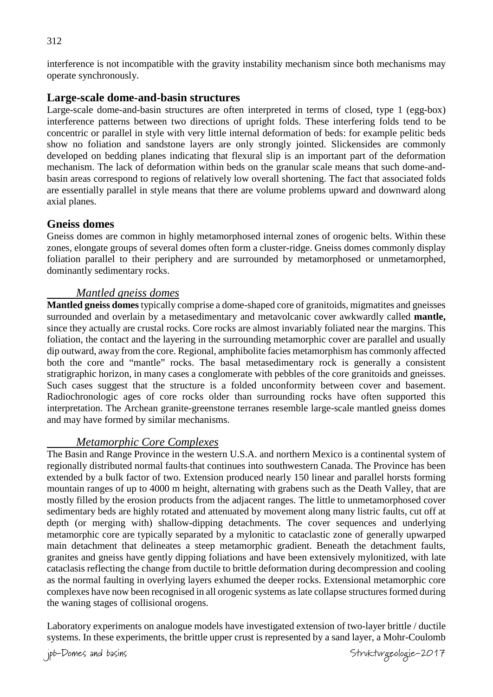interference is not incompatible with the gravity instability mechanism since both mechanisms may operate synchronously.

# **Large-scale dome-and-basin structures**

Large-scale dome-and-basin structures are often interpreted in terms of closed, type 1 (egg-box) interference patterns between two directions of upright folds. These interfering folds tend to be concentric or parallel in style with very little internal deformation of beds: for example pelitic beds show no foliation and sandstone layers are only strongly jointed. Slickensides are commonly developed on bedding planes indicating that flexural slip is an important part of the deformation mechanism. The lack of deformation within beds on the granular scale means that such dome-andbasin areas correspond to regions of relatively low overall shortening. The fact that associated folds are essentially parallel in style means that there are volume problems upward and downward along axial planes.

# **Gneiss domes**

Gneiss domes are common in highly metamorphosed internal zones of orogenic belts. Within these zones, elongate groups of several domes often form a cluster-ridge. Gneiss domes commonly display foliation parallel to their periphery and are surrounded by metamorphosed or unmetamorphed, dominantly sedimentary rocks.

# *Mantled gneiss domes*

**Mantled gneiss domes** typically comprise a dome-shaped core of granitoids, migmatites and gneisses surrounded and overlain by a metasedimentary and metavolcanic cover awkwardly called **mantle,**  since they actually are crustal rocks. Core rocks are almost invariably foliated near the margins. This foliation, the contact and the layering in the surrounding metamorphic cover are parallel and usually dip outward, away from the core. Regional, amphibolite facies metamorphism has commonly affected both the core and "mantle" rocks. The basal metasedimentary rock is generally a consistent stratigraphic horizon, in many cases a conglomerate with pebbles of the core granitoids and gneisses. Such cases suggest that the structure is a folded unconformity between cover and basement. Radiochronologic ages of core rocks older than surrounding rocks have often supported this interpretation. The Archean granite-greenstone terranes resemble large-scale mantled gneiss domes and may have formed by similar mechanisms.

# *Metamorphic Core Complexes*

The Basin and Range Province in the western U.S.A. and northern Mexico is a continental system of regionally distributed normal faults-that continues into southwestern Canada. The Province has been extended by a bulk factor of two. Extension produced nearly 150 linear and parallel horsts forming mountain ranges of up to 4000 m height, alternating with grabens such as the Death Valley, that are mostly filled by the erosion products from the adjacent ranges. The little to unmetamorphosed cover sedimentary beds are highly rotated and attenuated by movement along many listric faults, cut off at depth (or merging with) shallow-dipping detachments. The cover sequences and underlying metamorphic core are typically separated by a mylonitic to cataclastic zone of generally upwarped main detachment that delineates a steep metamorphic gradient. Beneath the detachment faults, granites and gneiss have gently dipping foliations and have been extensively mylonitized, with late cataclasis reflecting the change from ductile to brittle deformation during decompression and cooling as the normal faulting in overlying layers exhumed the deeper rocks. Extensional metamorphic core complexes have now been recognised in all orogenic systems as late collapse structures formed during the waning stages of collisional orogens.

Laboratory experiments on analogue models have investigated extension of two-layer brittle / ductile systems. In these experiments, the brittle upper crust is represented by a sand layer, a Mohr-Coulomb

jpb-Domes and basins Strukturgeologie-2017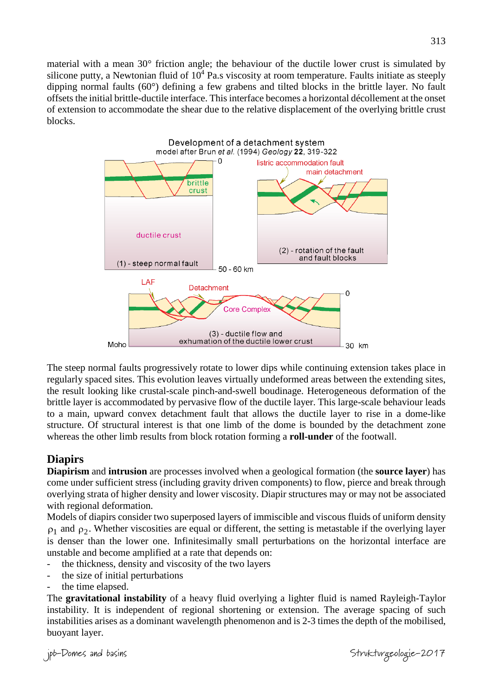material with a mean 30° friction angle; the behaviour of the ductile lower crust is simulated by silicone putty, a Newtonian fluid of  $10<sup>4</sup>$  Pa.s viscosity at room temperature. Faults initiate as steeply dipping normal faults (60°) defining a few grabens and tilted blocks in the brittle layer. No fault offsets the initial brittle-ductile interface. This interface becomes a horizontal décollement at the onset of extension to accommodate the shear due to the relative displacement of the overlying brittle crust blocks.



The steep normal faults progressively rotate to lower dips while continuing extension takes place in regularly spaced sites. This evolution leaves virtually undeformed areas between the extending sites, the result looking like crustal-scale pinch-and-swell boudinage. Heterogeneous deformation of the brittle layer is accommodated by pervasive flow of the ductile layer. This large-scale behaviour leads to a main, upward convex detachment fault that allows the ductile layer to rise in a dome-like structure. Of structural interest is that one limb of the dome is bounded by the detachment zone whereas the other limb results from block rotation forming a **roll-under** of the footwall.

# **Diapirs**

**Diapirism** and **intrusion** are processes involved when a geological formation (the **source layer**) has come under sufficient stress (including gravity driven components) to flow, pierce and break through overlying strata of higher density and lower viscosity. Diapir structures may or may not be associated with regional deformation.

Models of diapirs consider two superposed layers of immiscible and viscous fluids of uniform density  $\rho_1$  and  $\rho_2$ . Whether viscosities are equal or different, the setting is metastable if the overlying layer is denser than the lower one. Infinitesimally small perturbations on the horizontal interface are unstable and become amplified at a rate that depends on:

- the thickness, density and viscosity of the two layers
- the size of initial perturbations
- the time elapsed.

The **gravitational instability** of a heavy fluid overlying a lighter fluid is named Rayleigh-Taylor instability. It is independent of regional shortening or extension. The average spacing of such instabilities arises as a dominant wavelength phenomenon and is 2-3 times the depth of the mobilised, buoyant layer.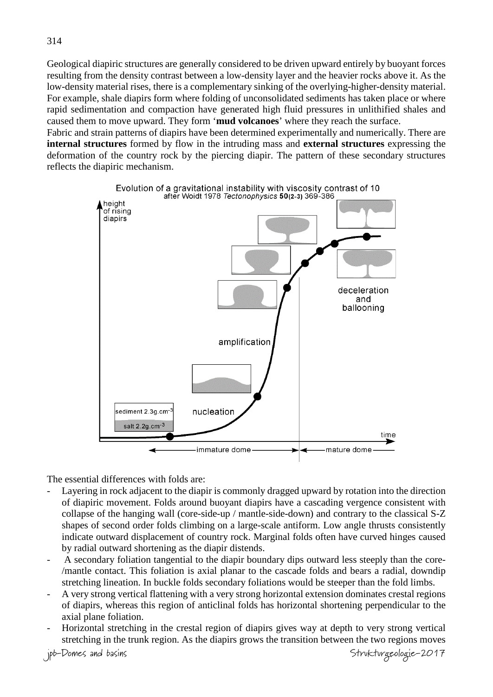Geological diapiric structures are generally considered to be driven upward entirely by buoyant forces resulting from the density contrast between a low-density layer and the heavier rocks above it. As the low-density material rises, there is a complementary sinking of the overlying-higher-density material. For example, shale diapirs form where folding of unconsolidated sediments has taken place or where rapid sedimentation and compaction have generated high fluid pressures in unlithified shales and caused them to move upward. They form '**mud volcanoes**' where they reach the surface.

Fabric and strain patterns of diapirs have been determined experimentally and numerically. There are **internal structures** formed by flow in the intruding mass and **external structures** expressing the deformation of the country rock by the piercing diapir. The pattern of these secondary structures reflects the diapiric mechanism.



The essential differences with folds are:

- Layering in rock adjacent to the diapir is commonly dragged upward by rotation into the direction of diapiric movement. Folds around buoyant diapirs have a cascading vergence consistent with collapse of the hanging wall (core-side-up / mantle-side-down) and contrary to the classical S-Z shapes of second order folds climbing on a large-scale antiform. Low angle thrusts consistently indicate outward displacement of country rock. Marginal folds often have curved hinges caused by radial outward shortening as the diapir distends.
- A secondary foliation tangential to the diapir boundary dips outward less steeply than the core- /mantle contact. This foliation is axial planar to the cascade folds and bears a radial, downdip stretching lineation. In buckle folds secondary foliations would be steeper than the fold limbs.
- A very strong vertical flattening with a very strong horizontal extension dominates crestal regions of diapirs, whereas this region of anticlinal folds has horizontal shortening perpendicular to the axial plane foliation.
- Horizontal stretching in the crestal region of diapirs gives way at depth to very strong vertical stretching in the trunk region. As the diapirs grows the transition between the two regions moves

jpb-Domes and basins Strukturgeologie-2017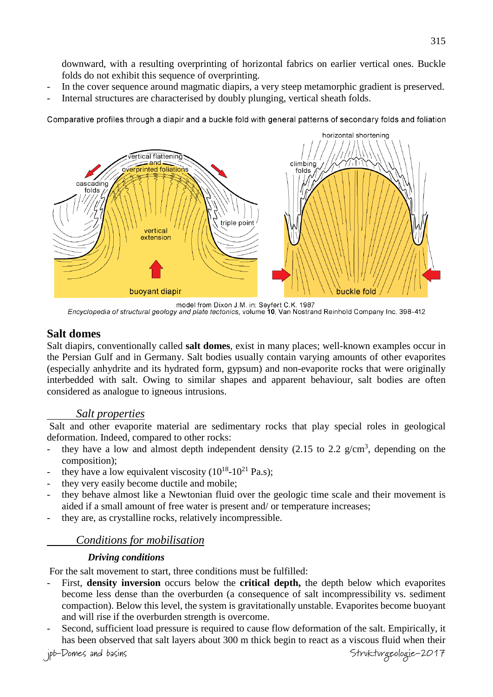downward, with a resulting overprinting of horizontal fabrics on earlier vertical ones. Buckle folds do not exhibit this sequence of overprinting.

- In the cover sequence around magmatic diapirs, a very steep metamorphic gradient is preserved.
- Internal structures are characterised by doubly plunging, vertical sheath folds.

Comparative profiles through a diapir and a buckle fold with general patterns of secondary folds and foliation



model from Dixon J.M. in: Seyfert C.K. 1987<br>Encyclopedia of structural geology and plate tectonics, volume 10, Van Nostrand Reinhold Company Inc. 398-412

# **Salt domes**

Salt diapirs, conventionally called **salt domes**, exist in many places; well-known examples occur in the Persian Gulf and in Germany. Salt bodies usually contain varying amounts of other evaporites (especially anhydrite and its hydrated form, gypsum) and non-evaporite rocks that were originally interbedded with salt. Owing to similar shapes and apparent behaviour, salt bodies are often considered as analogue to igneous intrusions.

# *Salt properties*

Salt and other evaporite material are sedimentary rocks that play special roles in geological deformation. Indeed, compared to other rocks:

- they have a low and almost depth independent density  $(2.15 \text{ to } 2.2 \text{ g/cm}^3)$ , depending on the composition);
- they have a low equivalent viscosity  $(10^{18}-10^{21} \text{ Pa.s})$ ;
- they very easily become ductile and mobile;
- they behave almost like a Newtonian fluid over the geologic time scale and their movement is aided if a small amount of free water is present and/ or temperature increases;
- they are, as crystalline rocks, relatively incompressible.

# *Conditions for mobilisation*

#### *Driving conditions*

For the salt movement to start, three conditions must be fulfilled:

- First, **density inversion** occurs below the **critical depth,** the depth below which evaporites become less dense than the overburden (a consequence of salt incompressibility vs. sediment compaction). Below this level, the system is gravitationally unstable. Evaporites become buoyant and will rise if the overburden strength is overcome.
- Second, sufficient load pressure is required to cause flow deformation of the salt. Empirically, it has been observed that salt layers about 300 m thick begin to react as a viscous fluid when their

jpb-Domes and basins Strukturgeologie-2017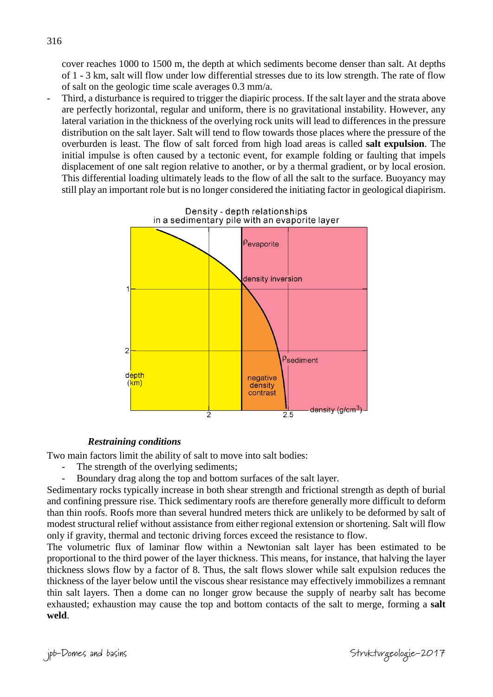cover reaches 1000 to 1500 m, the depth at which sediments become denser than salt. At depths of 1 - 3 km, salt will flow under low differential stresses due to its low strength. The rate of flow of salt on the geologic time scale averages 0.3 mm/a.

Third, a disturbance is required to trigger the diapiric process. If the salt layer and the strata above are perfectly horizontal, regular and uniform, there is no gravitational instability. However, any lateral variation in the thickness of the overlying rock units will lead to differences in the pressure distribution on the salt layer. Salt will tend to flow towards those places where the pressure of the overburden is least. The flow of salt forced from high load areas is called **salt expulsion**. The initial impulse is often caused by a tectonic event, for example folding or faulting that impels displacement of one salt region relative to another, or by a thermal gradient, or by local erosion. This differential loading ultimately leads to the flow of all the salt to the surface. Buoyancy may still play an important role but is no longer considered the initiating factor in geological diapirism.



#### *Restraining conditions*

Two main factors limit the ability of salt to move into salt bodies:

- The strength of the overlying sediments;
- Boundary drag along the top and bottom surfaces of the salt layer.

Sedimentary rocks typically increase in both shear strength and frictional strength as depth of burial and confining pressure rise. Thick sedimentary roofs are therefore generally more difficult to deform than thin roofs. Roofs more than several hundred meters thick are unlikely to be deformed by salt of modest structural relief without assistance from either regional extension or shortening. Salt will flow only if gravity, thermal and tectonic driving forces exceed the resistance to flow.

The volumetric flux of laminar flow within a Newtonian salt layer has been estimated to be proportional to the third power of the layer thickness. This means, for instance, that halving the layer thickness slows flow by a factor of 8. Thus, the salt flows slower while salt expulsion reduces the thickness of the layer below until the viscous shear resistance may effectively immobilizes a remnant thin salt layers. Then a dome can no longer grow because the supply of nearby salt has become exhausted; exhaustion may cause the top and bottom contacts of the salt to merge, forming a **salt weld**.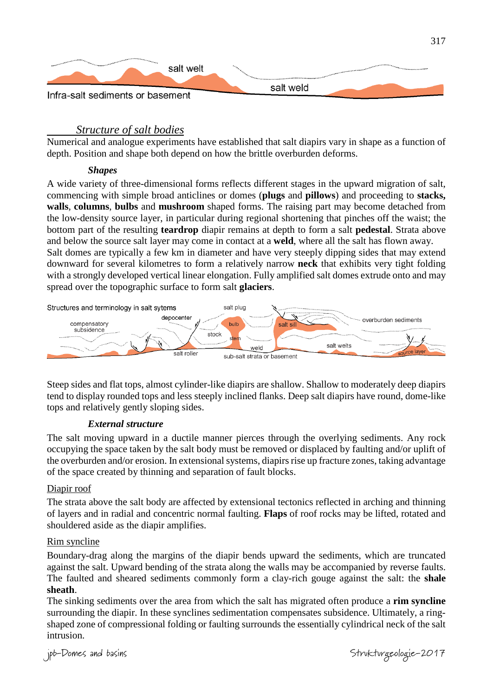

#### *Structure of salt bodies*

Numerical and analogue experiments have established that salt diapirs vary in shape as a function of depth. Position and shape both depend on how the brittle overburden deforms.

#### *Shapes*

A wide variety of three-dimensional forms reflects different stages in the upward migration of salt, commencing with simple broad anticlines or domes (**plugs** and **pillows**) and proceeding to **stacks, walls**, **columns**, **bulbs** and **mushroom** shaped forms. The raising part may become detached from the low-density source layer, in particular during regional shortening that pinches off the waist; the bottom part of the resulting **teardrop** diapir remains at depth to form a salt **pedestal**. Strata above and below the source salt layer may come in contact at a **weld**, where all the salt has flown away. Salt domes are typically a few km in diameter and have very steeply dipping sides that may extend

downward for several kilometres to form a relatively narrow **neck** that exhibits very tight folding with a strongly developed vertical linear elongation. Fully amplified salt domes extrude onto and may spread over the topographic surface to form salt **glaciers**.



Steep sides and flat tops, almost cylinder-like diapirs are shallow. Shallow to moderately deep diapirs tend to display rounded tops and less steeply inclined flanks. Deep salt diapirs have round, dome-like tops and relatively gently sloping sides.

#### *External structure*

The salt moving upward in a ductile manner pierces through the overlying sediments. Any rock occupying the space taken by the salt body must be removed or displaced by faulting and/or uplift of the overburden and/or erosion. In extensional systems, diapirs rise up fracture zones, taking advantage of the space created by thinning and separation of fault blocks.

#### Diapir roof

The strata above the salt body are affected by extensional tectonics reflected in arching and thinning of layers and in radial and concentric normal faulting. **Flaps** of roof rocks may be lifted, rotated and shouldered aside as the diapir amplifies.

#### Rim syncline

Boundary-drag along the margins of the diapir bends upward the sediments, which are truncated against the salt. Upward bending of the strata along the walls may be accompanied by reverse faults. The faulted and sheared sediments commonly form a clay-rich gouge against the salt: the **shale sheath**.

The sinking sediments over the area from which the salt has migrated often produce a **rim syncline**  surrounding the diapir. In these synclines sedimentation compensates subsidence. Ultimately, a ringshaped zone of compressional folding or faulting surrounds the essentially cylindrical neck of the salt intrusion.

jpb-Domes and basins  $Stv$ kturgeologie-2017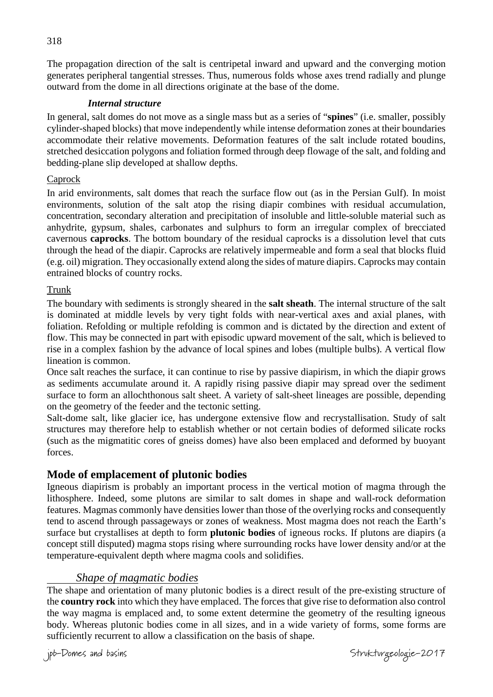The propagation direction of the salt is centripetal inward and upward and the converging motion generates peripheral tangential stresses. Thus, numerous folds whose axes trend radially and plunge outward from the dome in all directions originate at the base of the dome.

#### *Internal structure*

In general, salt domes do not move as a single mass but as a series of "**spines**" (i.e. smaller, possibly cylinder-shaped blocks) that move independently while intense deformation zones at their boundaries accommodate their relative movements. Deformation features of the salt include rotated boudins, stretched desiccation polygons and foliation formed through deep flowage of the salt, and folding and bedding-plane slip developed at shallow depths.

#### Caprock

In arid environments, salt domes that reach the surface flow out (as in the Persian Gulf). In moist environments, solution of the salt atop the rising diapir combines with residual accumulation, concentration, secondary alteration and precipitation of insoluble and little-soluble material such as anhydrite, gypsum, shales, carbonates and sulphurs to form an irregular complex of brecciated cavernous **caprocks**. The bottom boundary of the residual caprocks is a dissolution level that cuts through the head of the diapir. Caprocks are relatively impermeable and form a seal that blocks fluid (e.g. oil) migration. They occasionally extend along the sides of mature diapirs. Caprocks may contain entrained blocks of country rocks.

#### Trunk

The boundary with sediments is strongly sheared in the **salt sheath**. The internal structure of the salt is dominated at middle levels by very tight folds with near-vertical axes and axial planes, with foliation. Refolding or multiple refolding is common and is dictated by the direction and extent of flow. This may be connected in part with episodic upward movement of the salt, which is believed to rise in a complex fashion by the advance of local spines and lobes (multiple bulbs). A vertical flow lineation is common.

Once salt reaches the surface, it can continue to rise by passive diapirism, in which the diapir grows as sediments accumulate around it. A rapidly rising passive diapir may spread over the sediment surface to form an allochthonous salt sheet. A variety of salt-sheet lineages are possible, depending on the geometry of the feeder and the tectonic setting.

Salt-dome salt, like glacier ice, has undergone extensive flow and recrystallisation. Study of salt structures may therefore help to establish whether or not certain bodies of deformed silicate rocks (such as the migmatitic cores of gneiss domes) have also been emplaced and deformed by buoyant forces.

# **Mode of emplacement of plutonic bodies**

Igneous diapirism is probably an important process in the vertical motion of magma through the lithosphere. Indeed, some plutons are similar to salt domes in shape and wall-rock deformation features. Magmas commonly have densities lower than those of the overlying rocks and consequently tend to ascend through passageways or zones of weakness. Most magma does not reach the Earth's surface but crystallises at depth to form **plutonic bodies** of igneous rocks. If plutons are diapirs (a concept still disputed) magma stops rising where surrounding rocks have lower density and/or at the temperature-equivalent depth where magma cools and solidifies.

# *Shape of magmatic bodies*

The shape and orientation of many plutonic bodies is a direct result of the pre-existing structure of the **country rock** into which they have emplaced. The forces that give rise to deformation also control the way magma is emplaced and, to some extent determine the geometry of the resulting igneous body. Whereas plutonic bodies come in all sizes, and in a wide variety of forms, some forms are sufficiently recurrent to allow a classification on the basis of shape.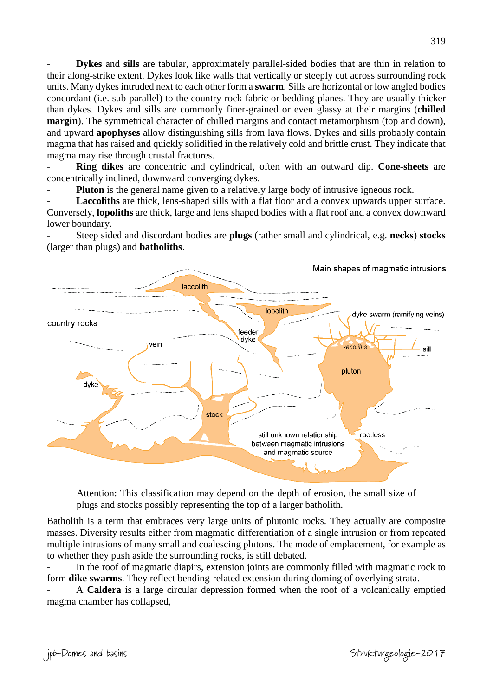- **Dykes** and **sills** are tabular, approximately parallel-sided bodies that are thin in relation to their along-strike extent. Dykes look like walls that vertically or steeply cut across surrounding rock units. Many dykes intruded next to each other form a **swarm**. Sills are horizontal or low angled bodies concordant (i.e. sub-parallel) to the country-rock fabric or bedding-planes. They are usually thicker than dykes. Dykes and sills are commonly finer-grained or even glassy at their margins (**chilled margin**). The symmetrical character of chilled margins and contact metamorphism (top and down), and upward **apophyses** allow distinguishing sills from lava flows. Dykes and sills probably contain magma that has raised and quickly solidified in the relatively cold and brittle crust. They indicate that magma may rise through crustal fractures.

- **Ring dikes** are concentric and cylindrical, often with an outward dip. **Cone-sheets** are concentrically inclined, downward converging dykes.

**Pluton** is the general name given to a relatively large body of intrusive igneous rock.

Laccoliths are thick, lens-shaped sills with a flat floor and a convex upwards upper surface. Conversely, **lopoliths** are thick, large and lens shaped bodies with a flat roof and a convex downward lower boundary.

- Steep sided and discordant bodies are **plugs** (rather small and cylindrical, e.g. **necks**) **stocks** (larger than plugs) and **batholiths**.



Attention: This classification may depend on the depth of erosion, the small size of plugs and stocks possibly representing the top of a larger batholith.

Batholith is a term that embraces very large units of plutonic rocks. They actually are composite masses. Diversity results either from magmatic differentiation of a single intrusion or from repeated multiple intrusions of many small and coalescing plutons. The mode of emplacement, for example as to whether they push aside the surrounding rocks, is still debated.

In the roof of magmatic diapirs, extension joints are commonly filled with magmatic rock to form **dike swarms**. They reflect bending-related extension during doming of overlying strata.

- A **Caldera** is a large circular depression formed when the roof of a volcanically emptied magma chamber has collapsed,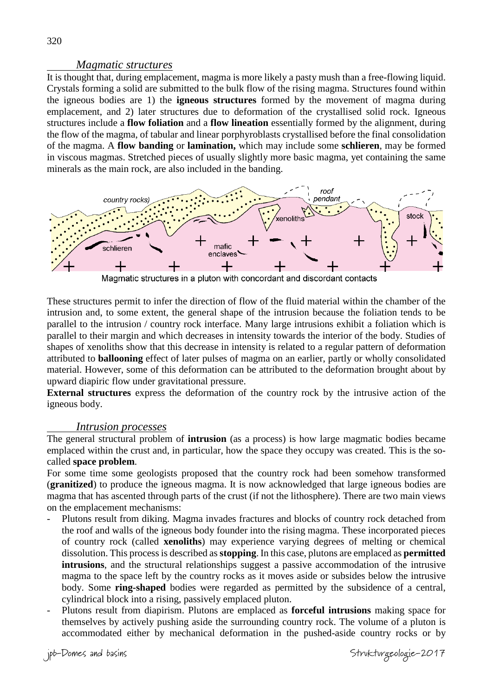#### *Magmatic structures*

It is thought that, during emplacement, magma is more likely a pasty mush than a free-flowing liquid. Crystals forming a solid are submitted to the bulk flow of the rising magma. Structures found within the igneous bodies are 1) the **igneous structures** formed by the movement of magma during emplacement, and 2) later structures due to deformation of the crystallised solid rock. Igneous structures include a **flow foliation** and a **flow lineation** essentially formed by the alignment, during the flow of the magma, of tabular and linear porphyroblasts crystallised before the final consolidation of the magma. A **flow banding** or **lamination,** which may include some **schlieren**, may be formed in viscous magmas. Stretched pieces of usually slightly more basic magma, yet containing the same minerals as the main rock, are also included in the banding.



Magmatic structures in a pluton with concordant and discordant contacts

These structures permit to infer the direction of flow of the fluid material within the chamber of the intrusion and, to some extent, the general shape of the intrusion because the foliation tends to be parallel to the intrusion / country rock interface. Many large intrusions exhibit a foliation which is parallel to their margin and which decreases in intensity towards the interior of the body. Studies of shapes of xenoliths show that this decrease in intensity is related to a regular pattern of deformation attributed to **ballooning** effect of later pulses of magma on an earlier, partly or wholly consolidated material. However, some of this deformation can be attributed to the deformation brought about by upward diapiric flow under gravitational pressure.

**External structures** express the deformation of the country rock by the intrusive action of the igneous body.

#### *Intrusion processes*

The general structural problem of **intrusion** (as a process) is how large magmatic bodies became emplaced within the crust and, in particular, how the space they occupy was created. This is the socalled **space problem**.

For some time some geologists proposed that the country rock had been somehow transformed (**granitized**) to produce the igneous magma. It is now acknowledged that large igneous bodies are magma that has ascented through parts of the crust (if not the lithosphere). There are two main views on the emplacement mechanisms:

- Plutons result from diking. Magma invades fractures and blocks of country rock detached from the roof and walls of the igneous body founder into the rising magma. These incorporated pieces of country rock (called **xenoliths**) may experience varying degrees of melting or chemical dissolution. This process is described as **stopping**. In this case, plutons are emplaced as **permitted intrusions**, and the structural relationships suggest a passive accommodation of the intrusive magma to the space left by the country rocks as it moves aside or subsides below the intrusive body. Some **ring-shaped** bodies were regarded as permitted by the subsidence of a central, cylindrical block into a rising, passively emplaced pluton.
- Plutons result from diapirism. Plutons are emplaced as **forceful intrusions** making space for themselves by actively pushing aside the surrounding country rock. The volume of a pluton is accommodated either by mechanical deformation in the pushed-aside country rocks or by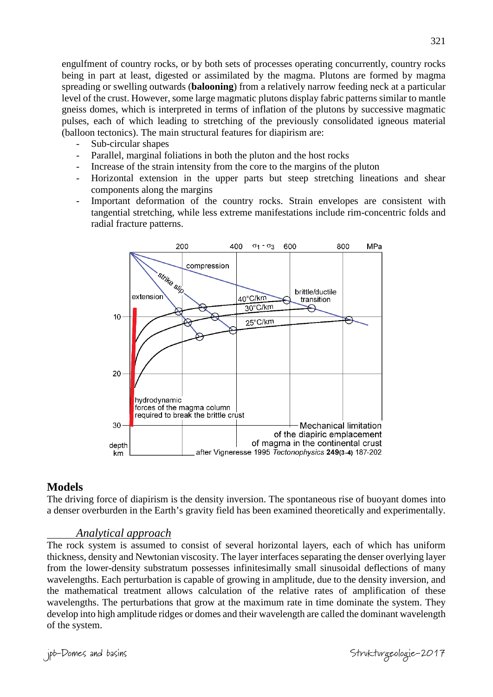engulfment of country rocks, or by both sets of processes operating concurrently, country rocks being in part at least, digested or assimilated by the magma. Plutons are formed by magma spreading or swelling outwards (**balooning**) from a relatively narrow feeding neck at a particular level of the crust. However, some large magmatic plutons display fabric patterns similar to mantle gneiss domes, which is interpreted in terms of inflation of the plutons by successive magmatic pulses, each of which leading to stretching of the previously consolidated igneous material (balloon tectonics). The main structural features for diapirism are:

- Sub-circular shapes
- Parallel, marginal foliations in both the pluton and the host rocks
- Increase of the strain intensity from the core to the margins of the pluton
- Horizontal extension in the upper parts but steep stretching lineations and shear components along the margins
- Important deformation of the country rocks. Strain envelopes are consistent with tangential stretching, while less extreme manifestations include rim-concentric folds and radial fracture patterns.



#### **Models**

The driving force of diapirism is the density inversion. The spontaneous rise of buoyant domes into a denser overburden in the Earth's gravity field has been examined theoretically and experimentally.

#### *Analytical approach*

The rock system is assumed to consist of several horizontal layers, each of which has uniform thickness, density and Newtonian viscosity. The layer interfaces separating the denser overlying layer from the lower-density substratum possesses infinitesimally small sinusoidal deflections of many wavelengths. Each perturbation is capable of growing in amplitude, due to the density inversion, and the mathematical treatment allows calculation of the relative rates of amplification of these wavelengths. The perturbations that grow at the maximum rate in time dominate the system. They develop into high amplitude ridges or domes and their wavelength are called the dominant wavelength of the system.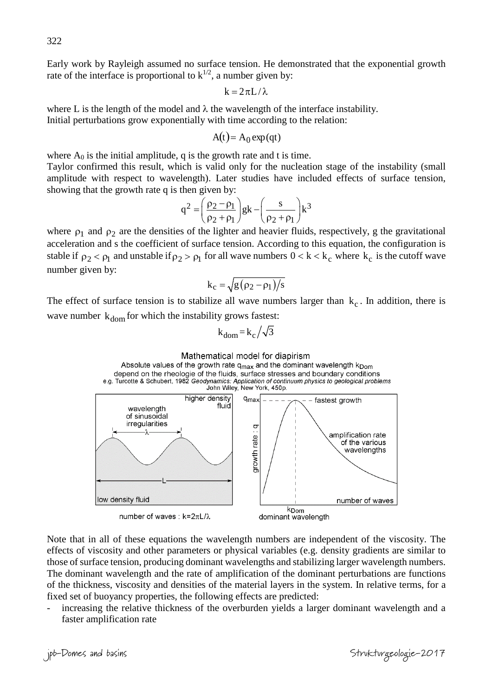Early work by Rayleigh assumed no surface tension. He demonstrated that the exponential growth rate of the interface is proportional to  $k^{1/2}$ , a number given by:

$$
k=2\pi L/\lambda
$$

where L is the length of the model and  $\lambda$  the wavelength of the interface instability. Initial perturbations grow exponentially with time according to the relation:

$$
A(t) = A_0 \exp(qt)
$$

where  $A_0$  is the initial amplitude, q is the growth rate and t is time.

Taylor confirmed this result, which is valid only for the nucleation stage of the instability (small amplitude with respect to wavelength). Later studies have included effects of surface tension, showing that the growth rate q is then given by:

$$
q^{2} = \left(\frac{\rho_{2} - \rho_{1}}{\rho_{2} + \rho_{1}}\right) g k - \left(\frac{s}{\rho_{2} + \rho_{1}}\right) k^{3}
$$

where  $\rho_1$  and  $\rho_2$  are the densities of the lighter and heavier fluids, respectively, g the gravitational acceleration and s the coefficient of surface tension. According to this equation, the configuration is stable if  $\rho_2 < \rho_1$  and unstable if  $\rho_2 > \rho_1$  for all wave numbers  $0 < k < k_c$  where  $k_c$  is the cutoff wave number given by:

$$
k_c = \sqrt{g(\rho_2 - \rho_1)/s}
$$

The effect of surface tension is to stabilize all wave numbers larger than  $k_c$ . In addition, there is wave number  $k_{\text{dom}}$  for which the instability grows fastest:

$$
k_{\text{dom}} = k_{\text{c}} / \sqrt{3}
$$



Note that in all of these equations the wavelength numbers are independent of the viscosity. The effects of viscosity and other parameters or physical variables (e.g. density gradients are similar to those of surface tension, producing dominant wavelengths and stabilizing larger wavelength numbers. The dominant wavelength and the rate of amplification of the dominant perturbations are functions of the thickness, viscosity and densities of the material layers in the system. In relative terms, for a fixed set of buoyancy properties, the following effects are predicted:

increasing the relative thickness of the overburden yields a larger dominant wavelength and a faster amplification rate

Strukturgeologie-2017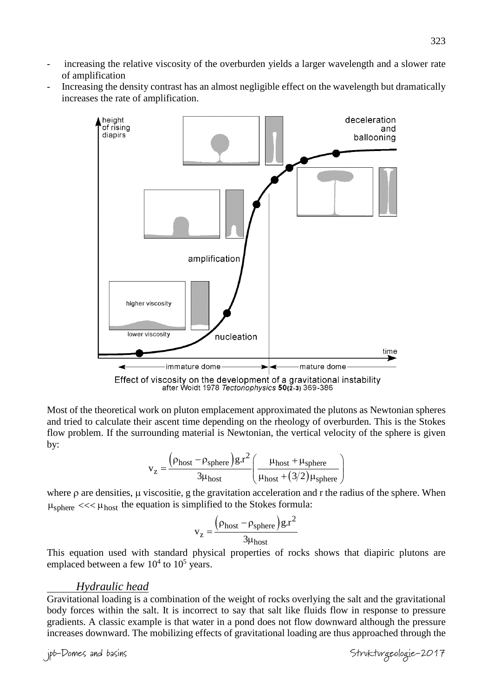- increasing the relative viscosity of the overburden yields a larger wavelength and a slower rate of amplification
- Increasing the density contrast has an almost negligible effect on the wavelength but dramatically increases the rate of amplification.



Most of the theoretical work on pluton emplacement approximated the plutons as Newtonian spheres and tried to calculate their ascent time depending on the rheology of overburden. This is the Stokes flow problem. If the surrounding material is Newtonian, the vertical velocity of the sphere is given by:

$$
v_z = \frac{\left(\rho_{host} - \rho_{sphere}\right)g.r^2}{3\mu_{host}} \left(\frac{\mu_{host} + \mu_{sphere}}{\mu_{host} + (3/2)\mu_{sphere}}\right)
$$

where  $\rho$  are densities,  $\mu$  viscositie, g the gravitation acceleration and r the radius of the sphere. When  $\mu_{\text{sphere}} \ll \ll \mu_{\text{host}}$  the equation is simplified to the Stokes formula:

$$
v_{z} = \frac{\left(\rho_{\text{host}} - \rho_{\text{sphere}}\right)g.r^2}{3\mu_{\text{host}}}
$$

This equation used with standard physical properties of rocks shows that diapiric plutons are emplaced between a few  $10^4$  to  $10^5$  years.

#### *Hydraulic head*

Gravitational loading is a combination of the weight of rocks overlying the salt and the gravitational body forces within the salt. It is incorrect to say that salt like fluids flow in response to pressure gradients. A classic example is that water in a pond does not flow downward although the pressure increases downward. The mobilizing effects of gravitational loading are thus approached through the

jpb-Domes and basins Strukturgeologie-2017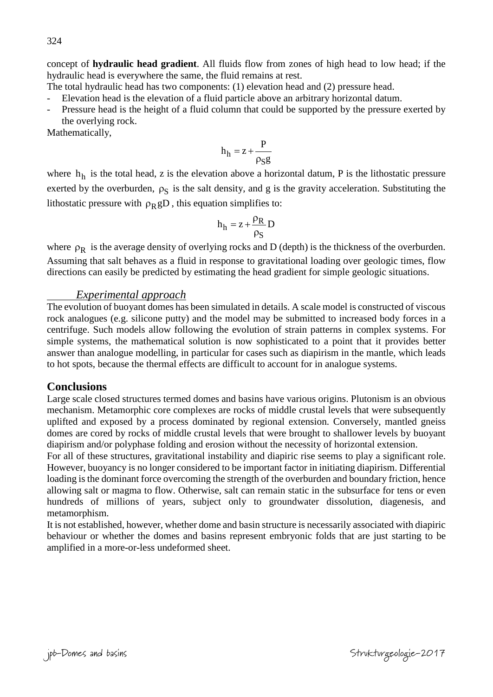concept of **hydraulic head gradient**. All fluids flow from zones of high head to low head; if the hydraulic head is everywhere the same, the fluid remains at rest.

The total hydraulic head has two components: (1) elevation head and (2) pressure head.

- Elevation head is the elevation of a fluid particle above an arbitrary horizontal datum.

Pressure head is the height of a fluid column that could be supported by the pressure exerted by the overlying rock.

Mathematically,

$$
h_h = z + \frac{P}{\rho_S g}
$$

where  $h_h$  is the total head, z is the elevation above a horizontal datum, P is the lithostatic pressure exerted by the overburden,  $\rho_S$  is the salt density, and g is the gravity acceleration. Substituting the lithostatic pressure with  $\rho_R gD$ , this equation simplifies to:

$$
h_h = z + \frac{\rho_R}{\rho_S} D
$$

where  $\rho_R$  is the average density of overlying rocks and D (depth) is the thickness of the overburden. Assuming that salt behaves as a fluid in response to gravitational loading over geologic times, flow directions can easily be predicted by estimating the head gradient for simple geologic situations.

#### *Experimental approach*

The evolution of buoyant domes has been simulated in details. A scale model is constructed of viscous rock analogues (e.g. silicone putty) and the model may be submitted to increased body forces in a centrifuge. Such models allow following the evolution of strain patterns in complex systems. For simple systems, the mathematical solution is now sophisticated to a point that it provides better answer than analogue modelling, in particular for cases such as diapirism in the mantle, which leads to hot spots, because the thermal effects are difficult to account for in analogue systems.

# **Conclusions**

Large scale closed structures termed domes and basins have various origins. Plutonism is an obvious mechanism. Metamorphic core complexes are rocks of middle crustal levels that were subsequently uplifted and exposed by a process dominated by regional extension. Conversely, mantled gneiss domes are cored by rocks of middle crustal levels that were brought to shallower levels by buoyant diapirism and/or polyphase folding and erosion without the necessity of horizontal extension.

For all of these structures, gravitational instability and diapiric rise seems to play a significant role. However, buoyancy is no longer considered to be important factor in initiating diapirism. Differential loading is the dominant force overcoming the strength of the overburden and boundary friction, hence allowing salt or magma to flow. Otherwise, salt can remain static in the subsurface for tens or even hundreds of millions of years, subject only to groundwater dissolution, diagenesis, and metamorphism.

It is not established, however, whether dome and basin structure is necessarily associated with diapiric behaviour or whether the domes and basins represent embryonic folds that are just starting to be amplified in a more-or-less undeformed sheet.